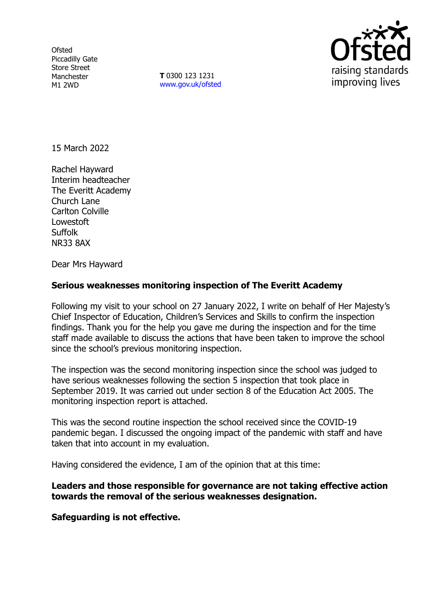**Ofsted** Piccadilly Gate Store Street Manchester M1 2WD

**T** 0300 123 1231 [www.gov.uk/ofsted](http://www.gov.uk/ofsted)



15 March 2022

Rachel Hayward Interim headteacher The Everitt Academy Church Lane Carlton Colville **Lowestoft** Suffolk NR33 8AX

Dear Mrs Hayward

# **Serious weaknesses monitoring inspection of The Everitt Academy**

Following my visit to your school on 27 January 2022, I write on behalf of Her Majesty's Chief Inspector of Education, Children's Services and Skills to confirm the inspection findings. Thank you for the help you gave me during the inspection and for the time staff made available to discuss the actions that have been taken to improve the school since the school's previous monitoring inspection.

The inspection was the second monitoring inspection since the school was judged to have serious weaknesses following the section 5 inspection that took place in September 2019. It was carried out under section 8 of the Education Act 2005. The monitoring inspection report is attached.

This was the second routine inspection the school received since the COVID-19 pandemic began. I discussed the ongoing impact of the pandemic with staff and have taken that into account in my evaluation.

Having considered the evidence, I am of the opinion that at this time:

## **Leaders and those responsible for governance are not taking effective action towards the removal of the serious weaknesses designation.**

**Safeguarding is not effective.**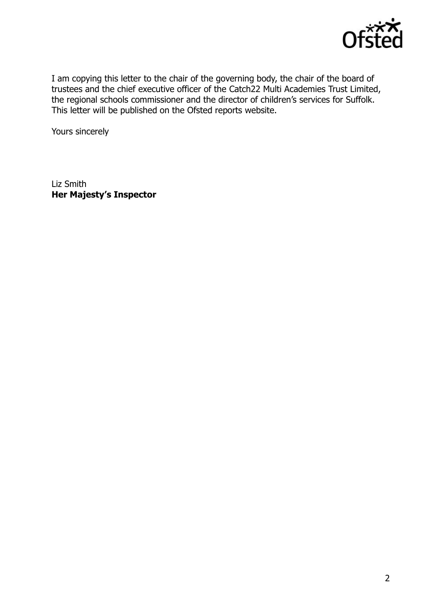

I am copying this letter to the chair of the governing body, the chair of the board of trustees and the chief executive officer of the Catch22 Multi Academies Trust Limited, the regional schools commissioner and the director of children's services for Suffolk. This letter will be published on the Ofsted reports website.

Yours sincerely

Liz Smith **Her Majesty's Inspector**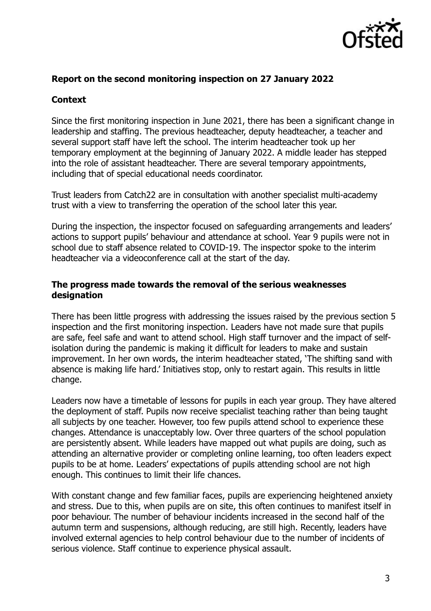

## **Report on the second monitoring inspection on 27 January 2022**

## **Context**

Since the first monitoring inspection in June 2021, there has been a significant change in leadership and staffing. The previous headteacher, deputy headteacher, a teacher and several support staff have left the school. The interim headteacher took up her temporary employment at the beginning of January 2022. A middle leader has stepped into the role of assistant headteacher. There are several temporary appointments, including that of special educational needs coordinator.

Trust leaders from Catch22 are in consultation with another specialist multi-academy trust with a view to transferring the operation of the school later this year.

During the inspection, the inspector focused on safeguarding arrangements and leaders' actions to support pupils' behaviour and attendance at school. Year 9 pupils were not in school due to staff absence related to COVID-19. The inspector spoke to the interim headteacher via a videoconference call at the start of the day.

## **The progress made towards the removal of the serious weaknesses designation**

There has been little progress with addressing the issues raised by the previous section 5 inspection and the first monitoring inspection. Leaders have not made sure that pupils are safe, feel safe and want to attend school. High staff turnover and the impact of selfisolation during the pandemic is making it difficult for leaders to make and sustain improvement. In her own words, the interim headteacher stated, 'The shifting sand with absence is making life hard.' Initiatives stop, only to restart again. This results in little change.

Leaders now have a timetable of lessons for pupils in each year group. They have altered the deployment of staff. Pupils now receive specialist teaching rather than being taught all subjects by one teacher. However, too few pupils attend school to experience these changes. Attendance is unacceptably low. Over three quarters of the school population are persistently absent. While leaders have mapped out what pupils are doing, such as attending an alternative provider or completing online learning, too often leaders expect pupils to be at home. Leaders' expectations of pupils attending school are not high enough. This continues to limit their life chances.

With constant change and few familiar faces, pupils are experiencing heightened anxiety and stress. Due to this, when pupils are on site, this often continues to manifest itself in poor behaviour. The number of behaviour incidents increased in the second half of the autumn term and suspensions, although reducing, are still high. Recently, leaders have involved external agencies to help control behaviour due to the number of incidents of serious violence. Staff continue to experience physical assault.